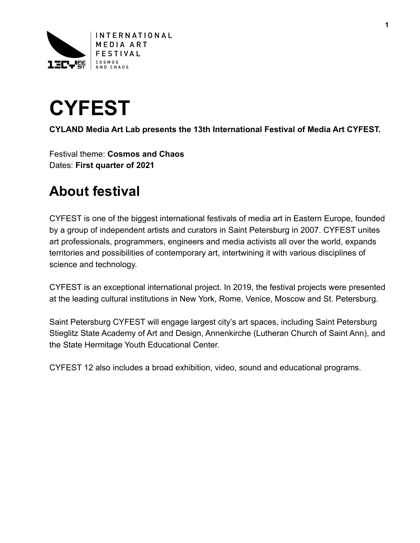



**CYLAND Media Art Lab presents the 13th International Festival of Media Art CYFEST.** 

Festival theme: **Cosmos and Chaos**  Dates: **First quarter of 2021** 

## **About festival**

CYFEST is one of the biggest international festivals of media art in Eastern Europe, founded by a group of independent artists and curators in Saint Petersburg in 2007. CYFEST unites art professionals, programmers, engineers and media activists all over the world, expands territories and possibilities of contemporary art, intertwining it with various disciplines of science and technology.

CYFEST is an exceptional international project. In 2019, the festival projects were presented at the leading cultural institutions in New York, Rome, Venice, Moscow and St. Petersburg.

Saint Petersburg CYFEST will engage largest city's art spaces, including Saint Petersburg Stieglitz State Academy of Art and Design, Annenkirche (Lutheran Church of Saint Ann), and the State Hermitage Youth Educational Center.

CYFEST 12 also includes a broad exhibition, video, sound and educational programs.